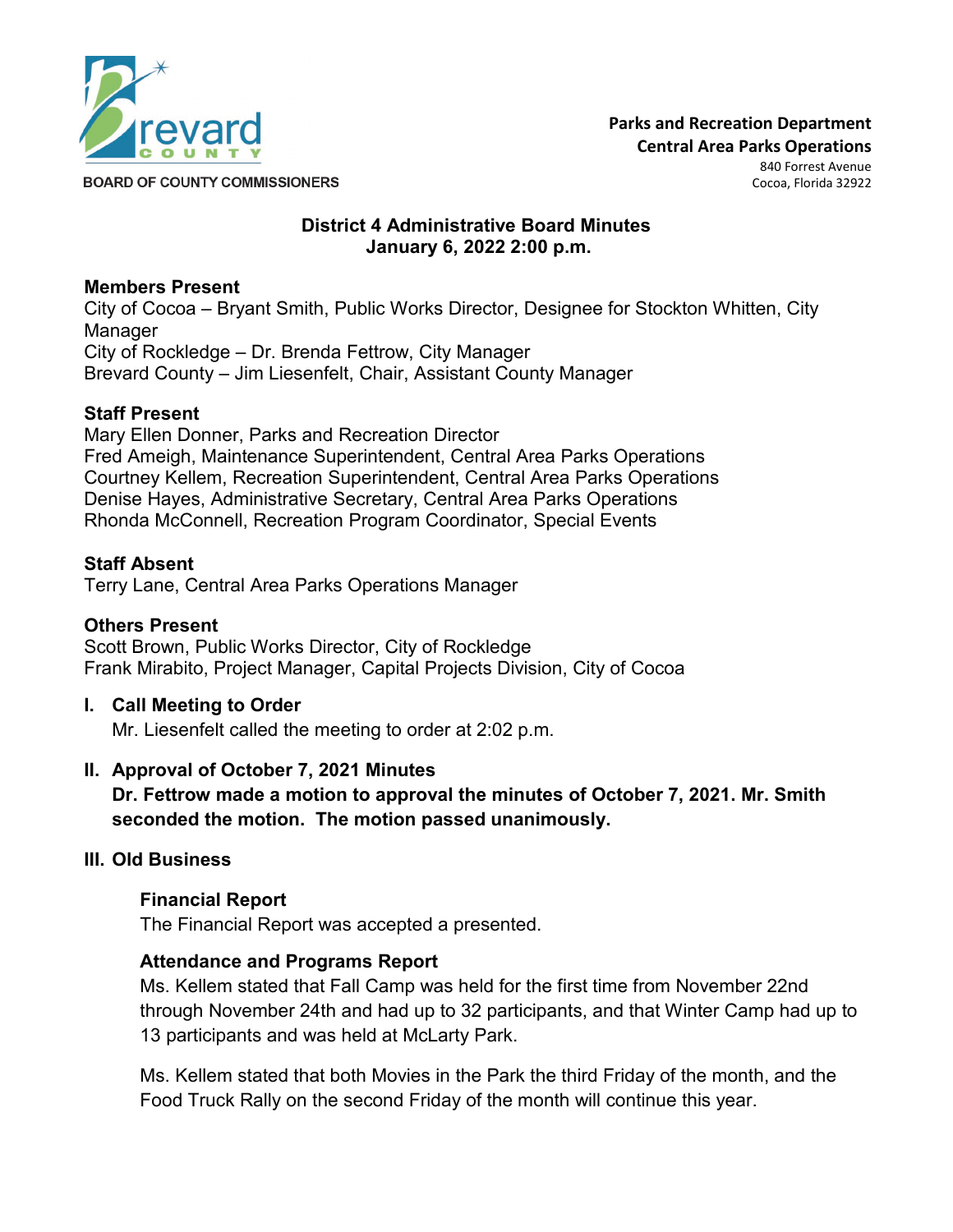

Cocoa, Florida 32922

**BOARD OF COUNTY COMMISSIONERS** 

## **District 4 Administrative Board Minutes January 6, 2022 2:00 p.m.**

### **Members Present**

City of Cocoa – Bryant Smith, Public Works Director, Designee for Stockton Whitten, City Manager City of Rockledge – Dr. Brenda Fettrow, City Manager Brevard County – Jim Liesenfelt, Chair, Assistant County Manager

### **Staff Present**

Mary Ellen Donner, Parks and Recreation Director Fred Ameigh, Maintenance Superintendent, Central Area Parks Operations Courtney Kellem, Recreation Superintendent, Central Area Parks Operations Denise Hayes, Administrative Secretary, Central Area Parks Operations Rhonda McConnell, Recreation Program Coordinator, Special Events

#### **Staff Absent**

Terry Lane, Central Area Parks Operations Manager

#### **Others Present**

Scott Brown, Public Works Director, City of Rockledge Frank Mirabito, Project Manager, Capital Projects Division, City of Cocoa

#### **I. Call Meeting to Order**

Mr. Liesenfelt called the meeting to order at 2:02 p.m.

## **II. Approval of October 7, 2021 Minutes**

**Dr. Fettrow made a motion to approval the minutes of October 7, 2021. Mr. Smith seconded the motion. The motion passed unanimously.**

#### **III. Old Business**

#### **Financial Report**

The Financial Report was accepted a presented.

#### **Attendance and Programs Report**

Ms. Kellem stated that Fall Camp was held for the first time from November 22nd through November 24th and had up to 32 participants, and that Winter Camp had up to 13 participants and was held at McLarty Park.

Ms. Kellem stated that both Movies in the Park the third Friday of the month, and the Food Truck Rally on the second Friday of the month will continue this year.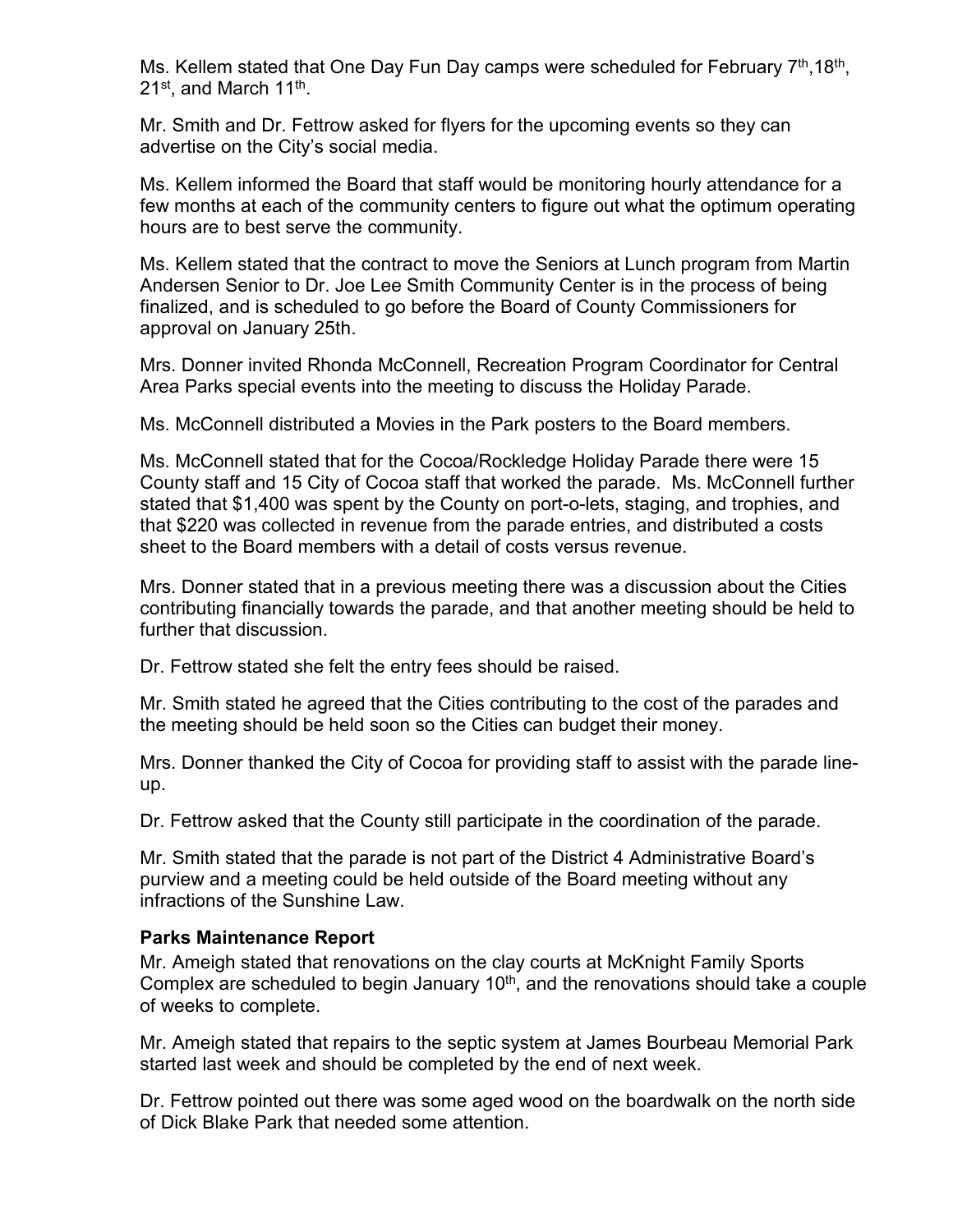Ms. Kellem stated that One Day Fun Day camps were scheduled for February  $7<sup>th</sup>$ , 18<sup>th</sup>, 21<sup>st</sup>, and March 11<sup>th</sup>.

Mr. Smith and Dr. Fettrow asked for flyers for the upcoming events so they can advertise on the City's social media.

Ms. Kellem informed the Board that staff would be monitoring hourly attendance for a few months at each of the community centers to figure out what the optimum operating hours are to best serve the community.

Ms. Kellem stated that the contract to move the Seniors at Lunch program from Martin Andersen Senior to Dr. Joe Lee Smith Community Center is in the process of being finalized, and is scheduled to go before the Board of County Commissioners for approval on January 25th.

Mrs. Donner invited Rhonda McConnell, Recreation Program Coordinator for Central Area Parks special events into the meeting to discuss the Holiday Parade.

Ms. McConnell distributed a Movies in the Park posters to the Board members.

Ms. McConnell stated that for the Cocoa/Rockledge Holiday Parade there were 15 County staff and 15 City of Cocoa staff that worked the parade. Ms. McConnell further stated that \$1,400 was spent by the County on port-o-lets, staging, and trophies, and that \$220 was collected in revenue from the parade entries, and distributed a costs sheet to the Board members with a detail of costs versus revenue.

Mrs. Donner stated that in a previous meeting there was a discussion about the Cities contributing financially towards the parade, and that another meeting should be held to further that discussion.

Dr. Fettrow stated she felt the entry fees should be raised.

Mr. Smith stated he agreed that the Cities contributing to the cost of the parades and the meeting should be held soon so the Cities can budget their money.

Mrs. Donner thanked the City of Cocoa for providing staff to assist with the parade lineup.

Dr. Fettrow asked that the County still participate in the coordination of the parade.

Mr. Smith stated that the parade is not part of the District 4 Administrative Board's purview and a meeting could be held outside of the Board meeting without any infractions of the Sunshine Law.

#### **Parks Maintenance Report**

Mr. Ameigh stated that renovations on the clay courts at McKnight Family Sports Complex are scheduled to begin January  $10<sup>th</sup>$ , and the renovations should take a couple of weeks to complete.

Mr. Ameigh stated that repairs to the septic system at James Bourbeau Memorial Park started last week and should be completed by the end of next week.

Dr. Fettrow pointed out there was some aged wood on the boardwalk on the north side of Dick Blake Park that needed some attention.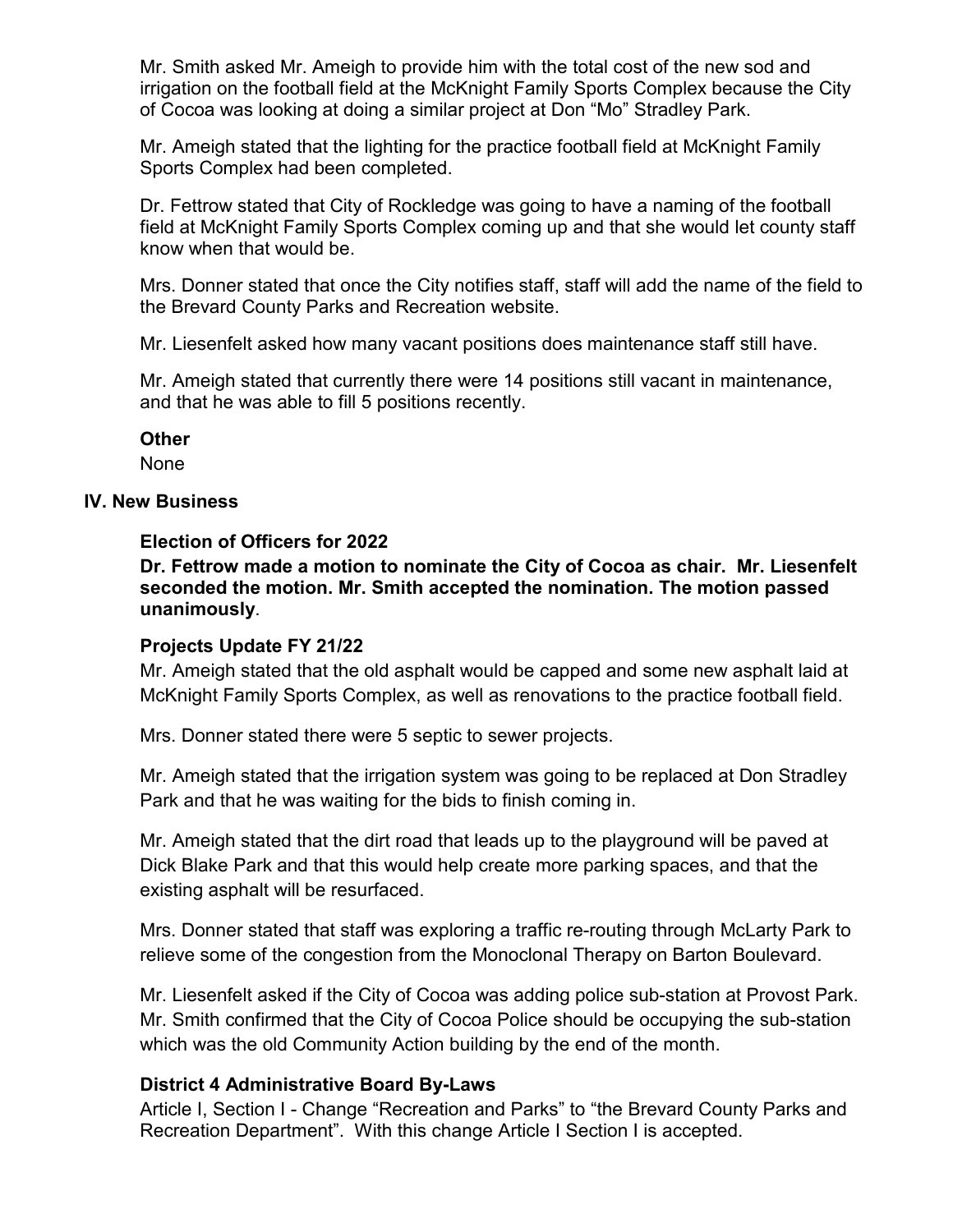Mr. Smith asked Mr. Ameigh to provide him with the total cost of the new sod and irrigation on the football field at the McKnight Family Sports Complex because the City of Cocoa was looking at doing a similar project at Don "Mo" Stradley Park.

Mr. Ameigh stated that the lighting for the practice football field at McKnight Family Sports Complex had been completed.

Dr. Fettrow stated that City of Rockledge was going to have a naming of the football field at McKnight Family Sports Complex coming up and that she would let county staff know when that would be.

Mrs. Donner stated that once the City notifies staff, staff will add the name of the field to the Brevard County Parks and Recreation website.

Mr. Liesenfelt asked how many vacant positions does maintenance staff still have.

Mr. Ameigh stated that currently there were 14 positions still vacant in maintenance, and that he was able to fill 5 positions recently.

### **Other**

None

### **IV. New Business**

### **Election of Officers for 2022**

**Dr. Fettrow made a motion to nominate the City of Cocoa as chair. Mr. Liesenfelt seconded the motion. Mr. Smith accepted the nomination. The motion passed unanimously**.

## **Projects Update FY 21/22**

Mr. Ameigh stated that the old asphalt would be capped and some new asphalt laid at McKnight Family Sports Complex, as well as renovations to the practice football field.

Mrs. Donner stated there were 5 septic to sewer projects.

Mr. Ameigh stated that the irrigation system was going to be replaced at Don Stradley Park and that he was waiting for the bids to finish coming in.

Mr. Ameigh stated that the dirt road that leads up to the playground will be paved at Dick Blake Park and that this would help create more parking spaces, and that the existing asphalt will be resurfaced.

Mrs. Donner stated that staff was exploring a traffic re-routing through McLarty Park to relieve some of the congestion from the Monoclonal Therapy on Barton Boulevard.

Mr. Liesenfelt asked if the City of Cocoa was adding police sub-station at Provost Park. Mr. Smith confirmed that the City of Cocoa Police should be occupying the sub-station which was the old Community Action building by the end of the month.

## **District 4 Administrative Board By-Laws**

Article I, Section I - Change "Recreation and Parks" to "the Brevard County Parks and Recreation Department". With this change Article I Section I is accepted.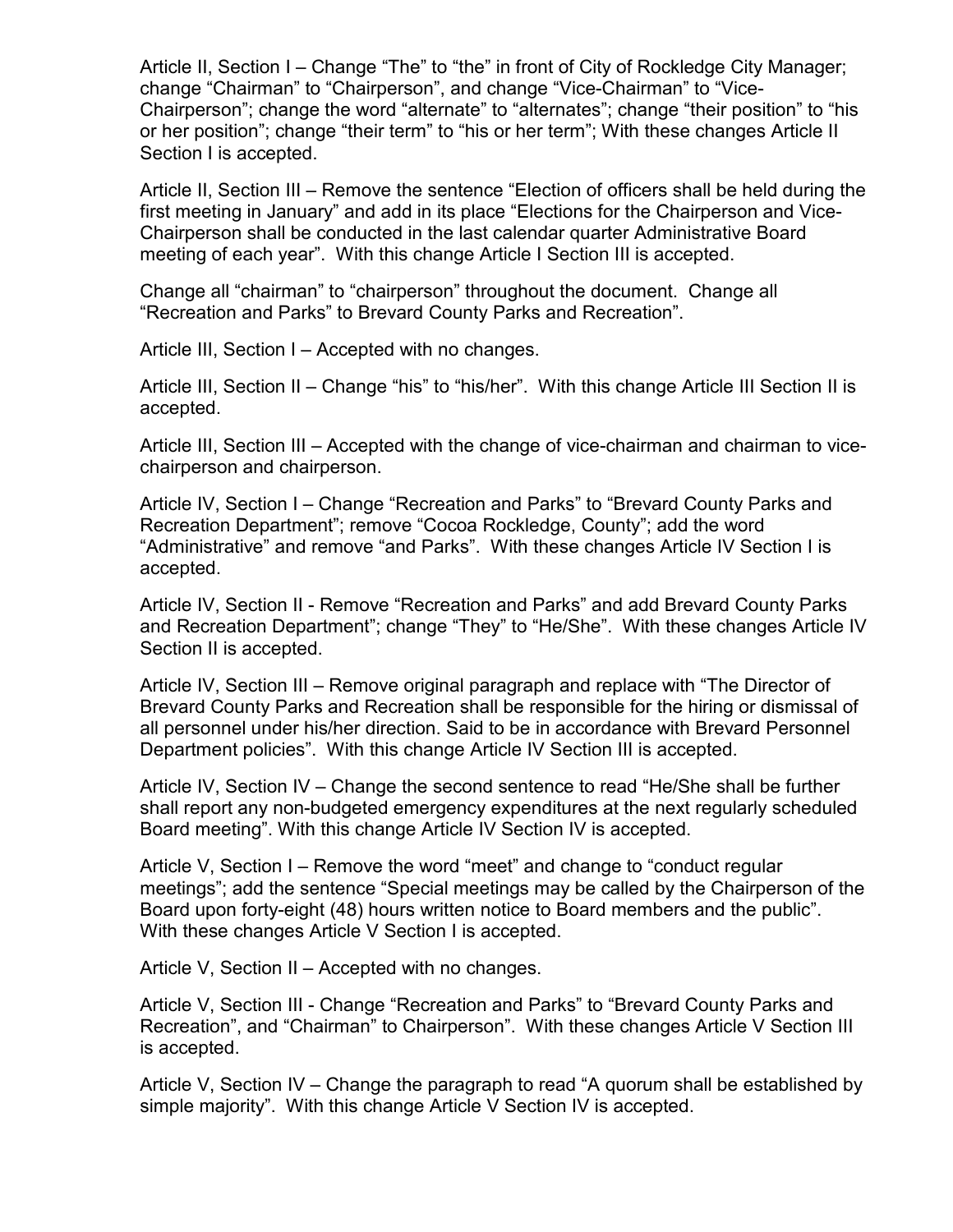Article II, Section I – Change "The" to "the" in front of City of Rockledge City Manager; change "Chairman" to "Chairperson", and change "Vice-Chairman" to "Vice-Chairperson"; change the word "alternate" to "alternates"; change "their position" to "his or her position"; change "their term" to "his or her term"; With these changes Article II Section I is accepted.

Article II, Section III – Remove the sentence "Election of officers shall be held during the first meeting in January" and add in its place "Elections for the Chairperson and Vice-Chairperson shall be conducted in the last calendar quarter Administrative Board meeting of each year". With this change Article I Section III is accepted.

Change all "chairman" to "chairperson" throughout the document. Change all "Recreation and Parks" to Brevard County Parks and Recreation".

Article III, Section I – Accepted with no changes.

Article III, Section II – Change "his" to "his/her". With this change Article III Section II is accepted.

Article III, Section III – Accepted with the change of vice-chairman and chairman to vicechairperson and chairperson.

Article IV, Section I – Change "Recreation and Parks" to "Brevard County Parks and Recreation Department"; remove "Cocoa Rockledge, County"; add the word "Administrative" and remove "and Parks". With these changes Article IV Section I is accepted.

Article IV, Section II - Remove "Recreation and Parks" and add Brevard County Parks and Recreation Department"; change "They" to "He/She". With these changes Article IV Section II is accepted.

Article IV, Section III – Remove original paragraph and replace with "The Director of Brevard County Parks and Recreation shall be responsible for the hiring or dismissal of all personnel under his/her direction. Said to be in accordance with Brevard Personnel Department policies". With this change Article IV Section III is accepted.

Article IV, Section IV – Change the second sentence to read "He/She shall be further shall report any non-budgeted emergency expenditures at the next regularly scheduled Board meeting". With this change Article IV Section IV is accepted.

Article V, Section I – Remove the word "meet" and change to "conduct regular meetings"; add the sentence "Special meetings may be called by the Chairperson of the Board upon forty-eight (48) hours written notice to Board members and the public". With these changes Article V Section I is accepted.

Article V, Section II – Accepted with no changes.

Article V, Section III - Change "Recreation and Parks" to "Brevard County Parks and Recreation", and "Chairman" to Chairperson". With these changes Article V Section III is accepted.

Article V, Section IV – Change the paragraph to read "A quorum shall be established by simple majority". With this change Article V Section IV is accepted.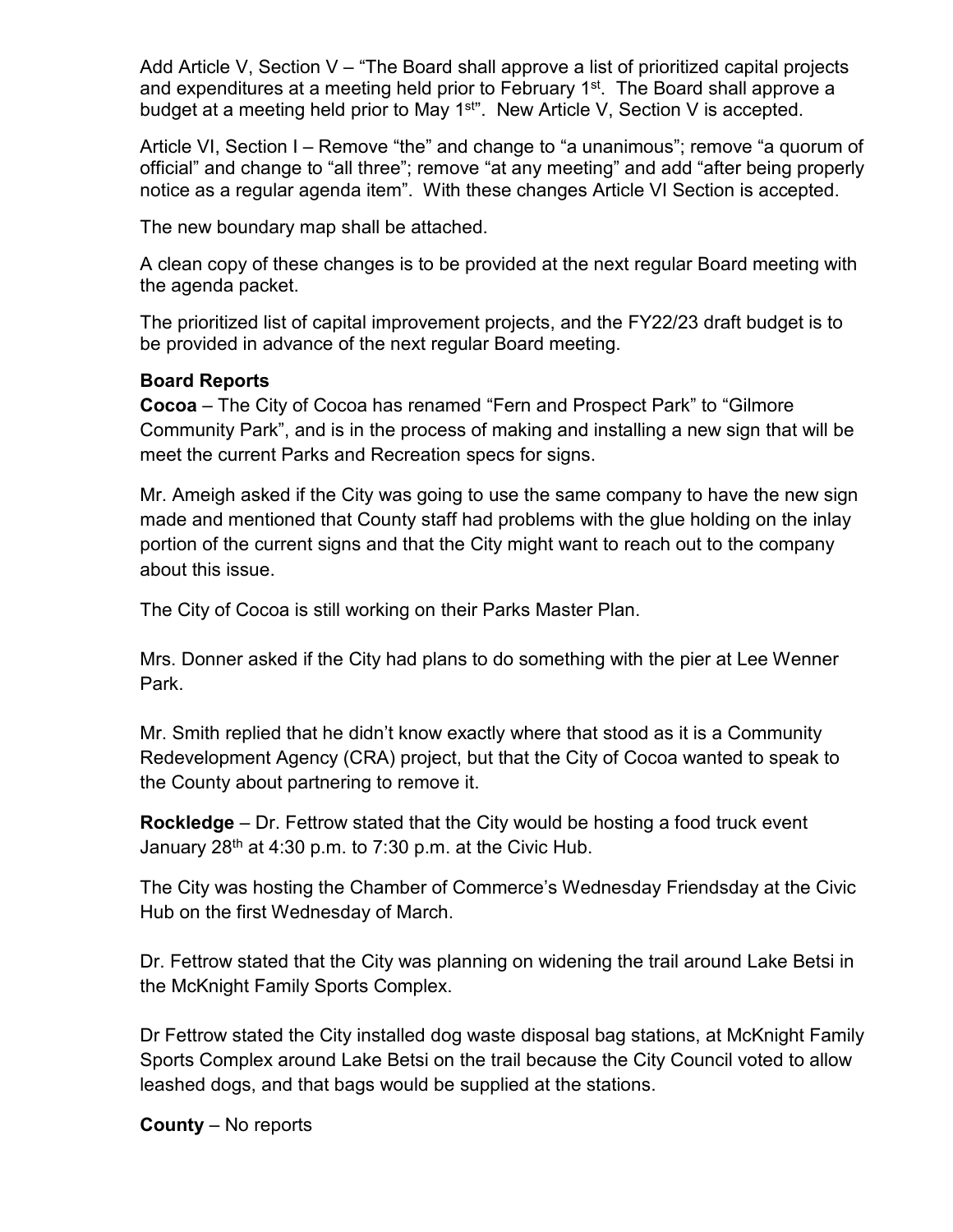Add Article V, Section V – "The Board shall approve a list of prioritized capital projects and expenditures at a meeting held prior to February  $1<sup>st</sup>$ . The Board shall approve a budget at a meeting held prior to May 1<sup>st"</sup>. New Article V, Section V is accepted.

Article VI, Section I – Remove "the" and change to "a unanimous"; remove "a quorum of official" and change to "all three"; remove "at any meeting" and add "after being properly notice as a regular agenda item". With these changes Article VI Section is accepted.

The new boundary map shall be attached.

A clean copy of these changes is to be provided at the next regular Board meeting with the agenda packet.

The prioritized list of capital improvement projects, and the FY22/23 draft budget is to be provided in advance of the next regular Board meeting.

## **Board Reports**

**Cocoa** – The City of Cocoa has renamed "Fern and Prospect Park" to "Gilmore Community Park", and is in the process of making and installing a new sign that will be meet the current Parks and Recreation specs for signs.

Mr. Ameigh asked if the City was going to use the same company to have the new sign made and mentioned that County staff had problems with the glue holding on the inlay portion of the current signs and that the City might want to reach out to the company about this issue.

The City of Cocoa is still working on their Parks Master Plan.

Mrs. Donner asked if the City had plans to do something with the pier at Lee Wenner Park.

Mr. Smith replied that he didn't know exactly where that stood as it is a Community Redevelopment Agency (CRA) project, but that the City of Cocoa wanted to speak to the County about partnering to remove it.

**Rockledge** – Dr. Fettrow stated that the City would be hosting a food truck event January  $28<sup>th</sup>$  at 4:30 p.m. to 7:30 p.m. at the Civic Hub.

The City was hosting the Chamber of Commerce's Wednesday Friendsday at the Civic Hub on the first Wednesday of March.

Dr. Fettrow stated that the City was planning on widening the trail around Lake Betsi in the McKnight Family Sports Complex.

Dr Fettrow stated the City installed dog waste disposal bag stations, at McKnight Family Sports Complex around Lake Betsi on the trail because the City Council voted to allow leashed dogs, and that bags would be supplied at the stations.

**County** – No reports